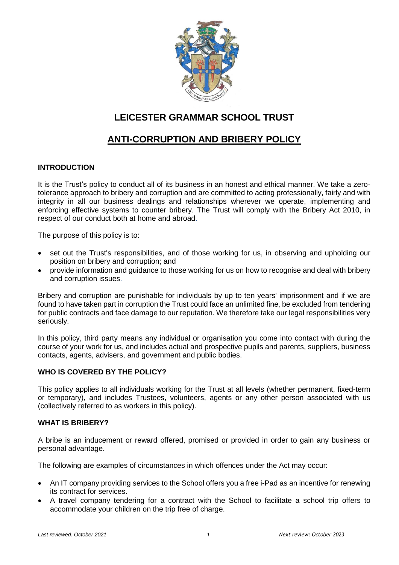

# **LEICESTER GRAMMAR SCHOOL TRUST**

# **ANTI-CORRUPTION AND BRIBERY POLICY**

## **INTRODUCTION**

It is the Trust's policy to conduct all of its business in an honest and ethical manner. We take a zerotolerance approach to bribery and corruption and are committed to acting professionally, fairly and with integrity in all our business dealings and relationships wherever we operate, implementing and enforcing effective systems to counter bribery. The Trust will comply with the Bribery Act 2010, in respect of our conduct both at home and abroad.

The purpose of this policy is to:

- set out the Trust's responsibilities, and of those working for us, in observing and upholding our position on bribery and corruption; and
- provide information and guidance to those working for us on how to recognise and deal with bribery and corruption issues.

Bribery and corruption are punishable for individuals by up to ten years' imprisonment and if we are found to have taken part in corruption the Trust could face an unlimited fine, be excluded from tendering for public contracts and face damage to our reputation. We therefore take our legal responsibilities very seriously.

In this policy, third party means any individual or organisation you come into contact with during the course of your work for us, and includes actual and prospective pupils and parents, suppliers, business contacts, agents, advisers, and government and public bodies.

### **WHO IS COVERED BY THE POLICY?**

This policy applies to all individuals working for the Trust at all levels (whether permanent, fixed-term or temporary), and includes Trustees, volunteers, agents or any other person associated with us (collectively referred to as workers in this policy).

### **WHAT IS BRIBERY?**

A bribe is an inducement or reward offered, promised or provided in order to gain any business or personal advantage.

The following are examples of circumstances in which offences under the Act may occur:

- An IT company providing services to the School offers you a free i-Pad as an incentive for renewing its contract for services.
- A travel company tendering for a contract with the School to facilitate a school trip offers to accommodate your children on the trip free of charge.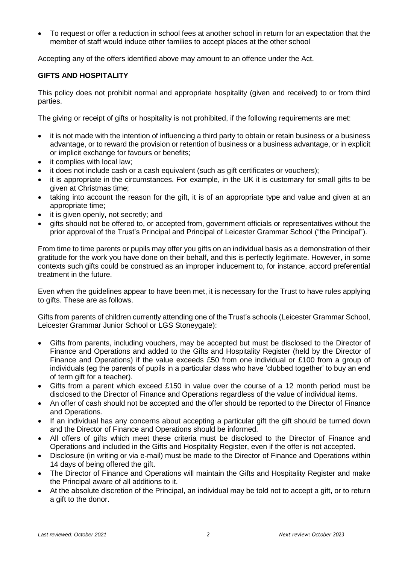To request or offer a reduction in school fees at another school in return for an expectation that the member of staff would induce other families to accept places at the other school

Accepting any of the offers identified above may amount to an offence under the Act.

### **GIFTS AND HOSPITALITY**

This policy does not prohibit normal and appropriate hospitality (given and received) to or from third parties.

The giving or receipt of gifts or hospitality is not prohibited, if the following requirements are met:

- it is not made with the intention of influencing a third party to obtain or retain business or a business advantage, or to reward the provision or retention of business or a business advantage, or in explicit or implicit exchange for favours or benefits;
- it complies with local law;
- it does not include cash or a cash equivalent (such as gift certificates or vouchers);
- it is appropriate in the circumstances. For example, in the UK it is customary for small gifts to be given at Christmas time;
- taking into account the reason for the gift, it is of an appropriate type and value and given at an appropriate time;
- it is given openly, not secretly; and
- gifts should not be offered to, or accepted from, government officials or representatives without the prior approval of the Trust's Principal and Principal of Leicester Grammar School ("the Principal").

From time to time parents or pupils may offer you gifts on an individual basis as a demonstration of their gratitude for the work you have done on their behalf, and this is perfectly legitimate. However, in some contexts such gifts could be construed as an improper inducement to, for instance, accord preferential treatment in the future.

Even when the guidelines appear to have been met, it is necessary for the Trust to have rules applying to gifts. These are as follows.

Gifts from parents of children currently attending one of the Trust's schools (Leicester Grammar School, Leicester Grammar Junior School or LGS Stoneygate):

- Gifts from parents, including vouchers, may be accepted but must be disclosed to the Director of Finance and Operations and added to the Gifts and Hospitality Register (held by the Director of Finance and Operations) if the value exceeds £50 from one individual or £100 from a group of individuals (eg the parents of pupils in a particular class who have 'clubbed together' to buy an end of term gift for a teacher).
- Gifts from a parent which exceed £150 in value over the course of a 12 month period must be disclosed to the Director of Finance and Operations regardless of the value of individual items.
- An offer of cash should not be accepted and the offer should be reported to the Director of Finance and Operations.
- If an individual has any concerns about accepting a particular gift the gift should be turned down and the Director of Finance and Operations should be informed.
- All offers of gifts which meet these criteria must be disclosed to the Director of Finance and Operations and included in the Gifts and Hospitality Register, even if the offer is not accepted.
- Disclosure (in writing or via e-mail) must be made to the Director of Finance and Operations within 14 days of being offered the gift.
- The Director of Finance and Operations will maintain the Gifts and Hospitality Register and make the Principal aware of all additions to it.
- At the absolute discretion of the Principal, an individual may be told not to accept a gift, or to return a gift to the donor.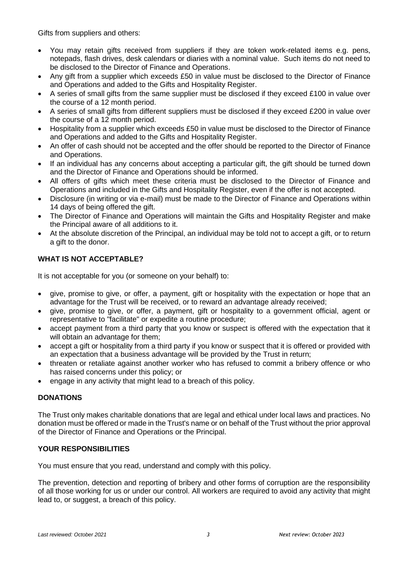Gifts from suppliers and others:

- You may retain gifts received from suppliers if they are token work-related items e.g. pens, notepads, flash drives, desk calendars or diaries with a nominal value. Such items do not need to be disclosed to the Director of Finance and Operations.
- Any gift from a supplier which exceeds £50 in value must be disclosed to the Director of Finance and Operations and added to the Gifts and Hospitality Register.
- A series of small gifts from the same supplier must be disclosed if they exceed £100 in value over the course of a 12 month period.
- A series of small gifts from different suppliers must be disclosed if they exceed £200 in value over the course of a 12 month period.
- Hospitality from a supplier which exceeds £50 in value must be disclosed to the Director of Finance and Operations and added to the Gifts and Hospitality Register.
- An offer of cash should not be accepted and the offer should be reported to the Director of Finance and Operations.
- If an individual has any concerns about accepting a particular gift, the gift should be turned down and the Director of Finance and Operations should be informed.
- All offers of gifts which meet these criteria must be disclosed to the Director of Finance and Operations and included in the Gifts and Hospitality Register, even if the offer is not accepted.
- Disclosure (in writing or via e-mail) must be made to the Director of Finance and Operations within 14 days of being offered the gift.
- The Director of Finance and Operations will maintain the Gifts and Hospitality Register and make the Principal aware of all additions to it.
- At the absolute discretion of the Principal, an individual may be told not to accept a gift, or to return a gift to the donor.

## **WHAT IS NOT ACCEPTABLE?**

It is not acceptable for you (or someone on your behalf) to:

- give, promise to give, or offer, a payment, gift or hospitality with the expectation or hope that an advantage for the Trust will be received, or to reward an advantage already received;
- give, promise to give, or offer, a payment, gift or hospitality to a government official, agent or representative to "facilitate" or expedite a routine procedure;
- accept payment from a third party that you know or suspect is offered with the expectation that it will obtain an advantage for them;
- accept a gift or hospitality from a third party if you know or suspect that it is offered or provided with an expectation that a business advantage will be provided by the Trust in return;
- threaten or retaliate against another worker who has refused to commit a bribery offence or who has raised concerns under this policy; or
- engage in any activity that might lead to a breach of this policy.

### **DONATIONS**

The Trust only makes charitable donations that are legal and ethical under local laws and practices. No donation must be offered or made in the Trust's name or on behalf of the Trust without the prior approval of the Director of Finance and Operations or the Principal.

### **YOUR RESPONSIBILITIES**

You must ensure that you read, understand and comply with this policy.

The prevention, detection and reporting of bribery and other forms of corruption are the responsibility of all those working for us or under our control. All workers are required to avoid any activity that might lead to, or suggest, a breach of this policy.